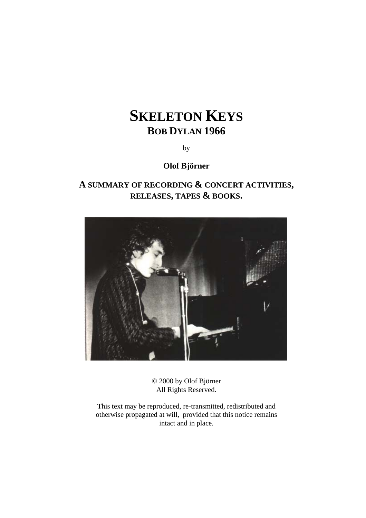# **SKELETON KEYS BOB DYLAN 1966**

by

**Olof Björner** 

# **A SUMMARY OF RECORDING & CONCERT ACTIVITIES, RELEASES, TAPES & BOOKS.**



© 2000 by Olof Björner All Rights Reserved.

This text may be reproduced, re-transmitted, redistributed and otherwise propagated at will, provided that this notice remains intact and in place.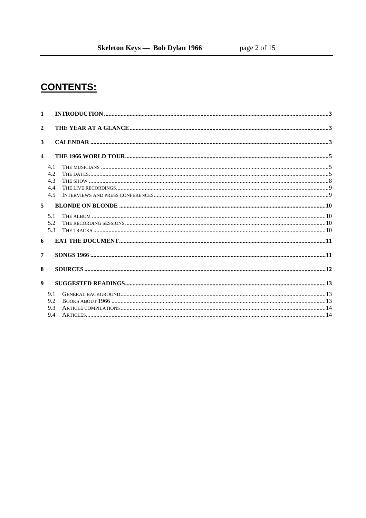# **CONTENTS:**

| $\mathbf{1}$            |     |  |
|-------------------------|-----|--|
|                         |     |  |
| $\overline{2}$          |     |  |
| $\mathbf{3}$            |     |  |
|                         |     |  |
| $\overline{\mathbf{4}}$ |     |  |
|                         | 4.1 |  |
|                         | 4.2 |  |
|                         | 4.3 |  |
|                         | 4.4 |  |
|                         | 4.5 |  |
| $\overline{5}$          |     |  |
|                         | 5.1 |  |
|                         | 5.2 |  |
|                         | 5.3 |  |
| 6                       |     |  |
|                         |     |  |
| $\overline{7}$          |     |  |
|                         |     |  |
| 8                       |     |  |
| $\boldsymbol{9}$        |     |  |
|                         | 9.1 |  |
|                         | 9.2 |  |
|                         | 9.3 |  |
|                         | 9.4 |  |
|                         |     |  |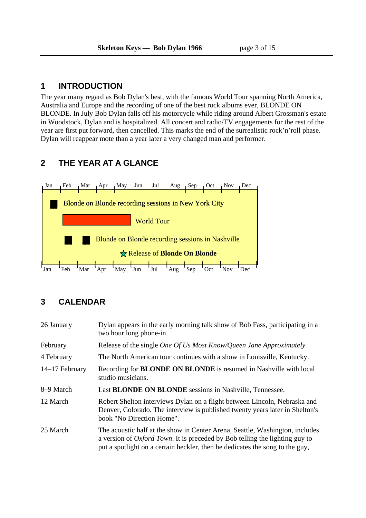## **1 INTRODUCTION**

The year many regard as Bob Dylan's best, with the famous World Tour spanning North America, Australia and Europe and the recording of one of the best rock albums ever, BLONDE ON BLONDE. In July Bob Dylan falls off his motorcycle while riding around Albert Grossman's estate in Woodstock. Dylan and is hospitalized. All concert and radio/TV engagements for the rest of the year are first put forward, then cancelled. This marks the end of the surrealistic rock'n'roll phase. Dylan will reappear mote than a year later a very changed man and performer.

## **2 THE YEAR AT A GLANCE**



# **3 CALENDAR**

| 26 January     | Dylan appears in the early morning talk show of Bob Fass, participating in a<br>two hour long phone-in.                                                                                                                                             |
|----------------|-----------------------------------------------------------------------------------------------------------------------------------------------------------------------------------------------------------------------------------------------------|
| February       | Release of the single <i>One Of Us Most Know/Queen Jane Approximately</i>                                                                                                                                                                           |
| 4 February     | The North American tour continues with a show in Louisville, Kentucky.                                                                                                                                                                              |
| 14–17 February | Recording for <b>BLONDE ON BLONDE</b> is resumed in Nashville with local<br>studio musicians.                                                                                                                                                       |
| 8–9 March      | Last <b>BLONDE ON BLONDE</b> sessions in Nashville, Tennessee.                                                                                                                                                                                      |
| 12 March       | Robert Shelton interviews Dylan on a flight between Lincoln, Nebraska and<br>Denver, Colorado. The interview is published twenty years later in Shelton's<br>book "No Direction Home".                                                              |
| 25 March       | The acoustic half at the show in Center Arena, Seattle, Washington, includes<br>a version of <i>Oxford Town</i> . It is preceded by Bob telling the lighting guy to<br>put a spotlight on a certain heckler, then he dedicates the song to the guy, |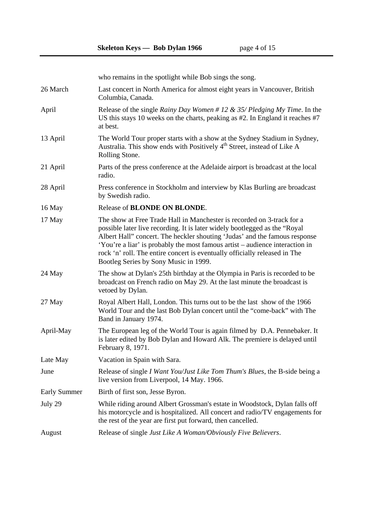who remains in the spotlight while Bob sings the song.

- 26 March Last concert in North America for almost eight years in Vancouver, British Columbia, Canada.
- April Release of the single *Rainy Day Women # 12 & 35/ Pledging My Time*. In the US this stays 10 weeks on the charts, peaking as #2. In England it reaches #7 at best.
- 13 April The World Tour proper starts with a show at the Sydney Stadium in Sydney, Australia. This show ends with Positively  $4<sup>th</sup>$  Street, instead of Like A Rolling Stone.
- 21 April Parts of the press conference at the Adelaide airport is broadcast at the local radio.
- 28 April Press conference in Stockholm and interview by Klas Burling are broadcast by Swedish radio.
- 16 May Release of **BLONDE ON BLONDE**.
- 17 May The show at Free Trade Hall in Manchester is recorded on 3-track for a possible later live recording. It is later widely bootlegged as the "Royal Albert Hall" concert. The heckler shouting 'Judas' and the famous response 'You're a liar' is probably the most famous artist – audience interaction in rock 'n' roll. The entire concert is eventually officially released in The Bootleg Series by Sony Music in 1999.
- 24 May The show at Dylan's 25th birthday at the Olympia in Paris is recorded to be broadcast on French radio on May 29. At the last minute the broadcast is vetoed by Dylan.
- 27 May Royal Albert Hall, London. This turns out to be the last show of the 1966 World Tour and the last Bob Dylan concert until the "come-back" with The Band in January 1974.
- April-May The European leg of the World Tour is again filmed by D.A. Pennebaker. It is later edited by Bob Dylan and Howard Alk. The premiere is delayed until February 8, 1971.
- Late May Vacation in Spain with Sara.
- June Release of single *I Want You/Just Like Tom Thum's Blues*, the B-side being a live version from Liverpool, 14 May. 1966.
- Early Summer Birth of first son, Jesse Byron.
- July 29 While riding around Albert Grossman's estate in Woodstock, Dylan falls off his motorcycle and is hospitalized. All concert and radio/TV engagements for the rest of the year are first put forward, then cancelled.
- August Release of single *Just Like A Woman/Obviously Five Believers*.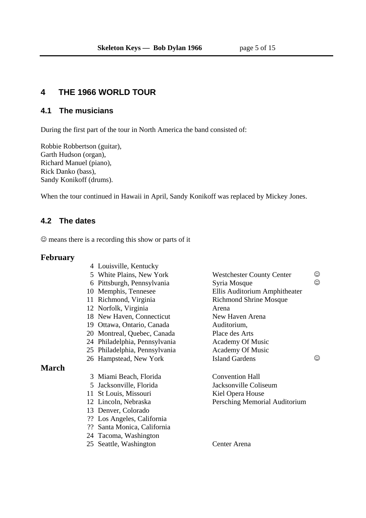## **4 THE 1966 WORLD TOUR**

#### **4.1 The musicians**

During the first part of the tour in North America the band consisted of:

Robbie Robbertson (guitar), Garth Hudson (organ), Richard Manuel (piano), Rick Danko (bass), Sandy Konikoff (drums).

When the tour continued in Hawaii in April, Sandy Konikoff was replaced by Mickey Jones.

### **4.2 The dates**

 $\odot$  means there is a recording this show or parts of it

#### **February**

| $\blacksquare$ $\blacksquare$ |                               |                                  |         |
|-------------------------------|-------------------------------|----------------------------------|---------|
|                               | 4 Louisville, Kentucky        |                                  |         |
|                               | 5 White Plains, New York      | <b>Westchester County Center</b> | ☺       |
|                               | 6 Pittsburgh, Pennsylvania    | Syria Mosque                     | $\odot$ |
|                               | 10 Memphis, Tennesee          | Ellis Auditorium Amphitheater    |         |
|                               | 11 Richmond, Virginia         | <b>Richmond Shrine Mosque</b>    |         |
|                               | 12 Norfolk, Virginia          | Arena                            |         |
|                               | 18 New Haven, Connecticut     | New Haven Arena                  |         |
|                               | 19 Ottawa, Ontario, Canada    | Auditorium,                      |         |
|                               | 20 Montreal, Quebec, Canada   | Place des Arts                   |         |
|                               | 24 Philadelphia, Pennsylvania | Academy Of Music                 |         |
|                               | 25 Philadelphia, Pennsylvania | <b>Academy Of Music</b>          |         |
|                               | 26 Hampstead, New York        | <b>Island Gardens</b>            | ☺       |
| March                         |                               |                                  |         |
|                               | 3 Miami Beach, Florida        | <b>Convention Hall</b>           |         |
|                               | 5 Jacksonville, Florida       | Jacksonville Coliseum            |         |
|                               | 11 St Louis, Missouri         | Kiel Opera House                 |         |
|                               | 12 Lincoln, Nebraska          | Persching Memorial Auditorium    |         |
|                               | 13 Denver, Colorado           |                                  |         |
|                               | ?? Los Angeles, California    |                                  |         |
|                               | ?? Santa Monica, California   |                                  |         |
|                               |                               |                                  |         |

- 24 Tacoma, Washington
- 25 Seattle, Washington Center Arena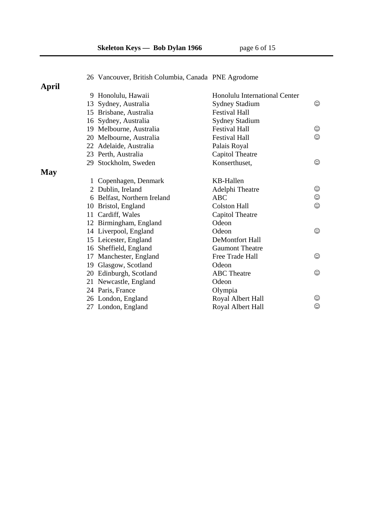| <b>April</b> |                             |                               |                      |
|--------------|-----------------------------|-------------------------------|----------------------|
|              | 9 Honolulu, Hawaii          | Honolulu International Center |                      |
|              | 13 Sydney, Australia        | <b>Sydney Stadium</b>         | $_{\mathord{\odot}}$ |
|              | 15 Brisbane, Australia      | <b>Festival Hall</b>          |                      |
|              | 16 Sydney, Australia        | <b>Sydney Stadium</b>         |                      |
|              | 19 Melbourne, Australia     | <b>Festival Hall</b>          | $_{\odot}$           |
|              | 20 Melbourne, Australia     | <b>Festival Hall</b>          | $\odot$              |
|              | 22 Adelaide, Australia      | Palais Royal                  |                      |
|              | 23 Perth, Australia         | <b>Capitol Theatre</b>        |                      |
|              | 29 Stockholm, Sweden        | Konserthuset,                 | $_{\mathord{\odot}}$ |
| May          |                             |                               |                      |
|              | 1 Copenhagen, Denmark       | KB-Hallen                     |                      |
|              | 2 Dublin, Ireland           | Adelphi Theatre               | $_{\odot}$           |
|              | 6 Belfast, Northern Ireland | <b>ABC</b>                    | $\odot$              |
|              | 10 Bristol, England         | <b>Colston Hall</b>           | $\odot$              |
|              | 11 Cardiff, Wales           | Capitol Theatre               |                      |
|              | 12 Birmingham, England      | Odeon                         |                      |
|              | 14 Liverpool, England       | Odeon                         | $_{\odot}$           |
|              | 15 Leicester, England       | <b>DeMontfort Hall</b>        |                      |
|              | 16 Sheffield, England       | <b>Gaumont Theatre</b>        |                      |
|              | Manchester, England<br>17   | Free Trade Hall               | $_{\odot}$           |
|              | 19 Glasgow, Scotland        | Odeon                         |                      |
|              | 20 Edinburgh, Scotland      | <b>ABC</b> Theatre            | $_{\mathord{\odot}}$ |
|              | 21 Newcastle, England       | Odeon                         |                      |
|              | 24 Paris, France            | Olympia                       |                      |
|              | 26 London, England          | Royal Albert Hall             | $_{\odot}$           |

27 London, England **Royal Albert Hall** 

## 26 Vancouver, British Columbia, Canada PNE Agrodome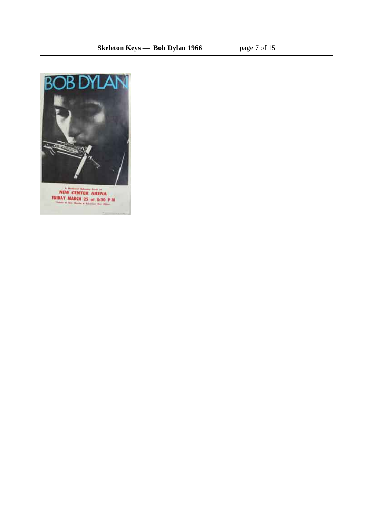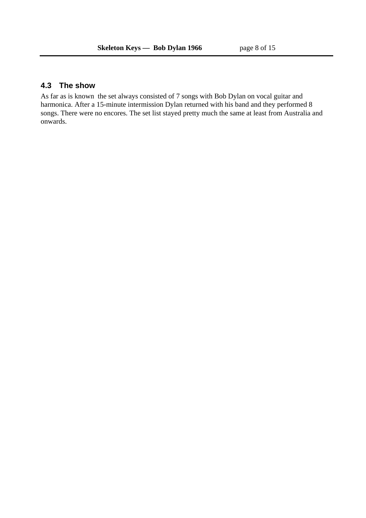#### **4.3 The show**

As far as is known the set always consisted of 7 songs with Bob Dylan on vocal guitar and harmonica. After a 15-minute intermission Dylan returned with his band and they performed 8 songs. There were no encores. The set list stayed pretty much the same at least from Australia and onwards.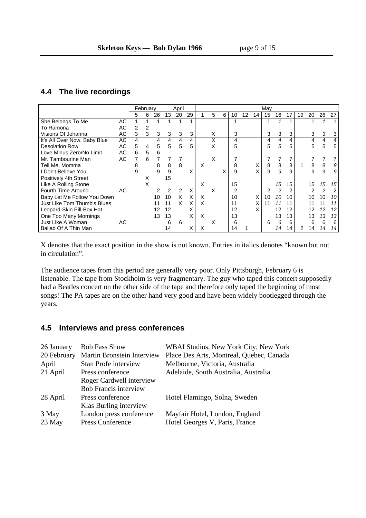### **4.4 The live recordings**

|                              |    |   | February |    |    | April |    |   |   |   |    |    |    | Mav |    |    |    |    |    |    |
|------------------------------|----|---|----------|----|----|-------|----|---|---|---|----|----|----|-----|----|----|----|----|----|----|
|                              |    | 5 | 6        | 26 | 13 | 20    | 29 |   | 5 | 6 | 10 | 12 | 14 | 15  | 16 | 17 | 19 | 20 | 26 | 27 |
| She Belongs To Me            | АC |   |          |    |    |       |    |   |   |   |    |    |    |     |    |    |    |    |    |    |
| To Ramona                    | АC | 2 | 2        |    |    |       |    |   |   |   |    |    |    |     |    |    |    |    |    |    |
| Visions Of Johanna           | АC | 3 | 3        | 3  | 3  | 3     | 3  |   | X |   | 3  |    |    | 3   | 3  | 3  |    | 3  | 3  | 3  |
| It's All Over Now, Baby Blue | AC | 4 |          | 4  | 4  | 4     | 4  |   | Χ |   | 4  |    |    | 4   | 4  | 4  |    | 4  | 4  | 4  |
| <b>Desolation Row</b>        | АC | 5 | 4        | 5  | 5  | 5     | 5  |   | X |   | 5  |    |    | 5   | 5  | 5  |    | 5  | 5  | 5  |
| Love Minus Zero/No Limit     | АC | 6 | 5        | 6  |    |       |    |   |   |   |    |    |    |     |    |    |    |    |    |    |
| Mr. Tambourine Man           | АC | 7 | 6        | 7  |    |       |    |   | X |   | 7  |    |    |     |    |    |    |    |    |    |
| Tell Me. Momma               |    | 8 |          | 8  | 8  | 8     |    | X |   |   | 8  |    | X  | 8   | 8  | 8  |    | 8  | 8  | 8  |
| I Don't Believe You          |    | 9 |          | 9  | 9  |       | X  |   |   | x | 9  |    | X  | 9   | 9  | 9  |    | 9  | 9  | 9  |
| Positively 4th Street        |    |   | X        |    | 15 |       |    |   |   |   |    |    |    |     |    |    |    |    |    |    |
| Like A Rolling Stone         |    |   | X        |    |    |       |    | X |   |   | 15 |    |    |     | 15 | 15 |    | 15 | 15 | 15 |
| Fourth Time Around           | АC |   |          | 2  | 2  | 2     | X  |   | X |   | 2  |    |    | 2   | 2  | 2  |    | 2  | 2  | 2  |
| Baby Let Me Follow You Down  |    |   |          | 10 | 10 | X     | X  | X |   |   | 10 |    | X  | 10  | 10 | 10 |    | 10 | 10 | 10 |
| Just Like Tom Thumb's Blues  |    |   |          | 11 | 11 | X     | Χ  | X |   |   | 11 |    | X  | 11  | 11 | 11 |    |    |    | 11 |
| Leopard-Skin Pill-Box Hat    |    |   |          | 12 | 12 |       | X  |   |   |   | 12 |    | X  |     | 12 | 12 |    | 12 | 12 | 12 |
| One Too Many Mornings        |    |   |          | 13 | 13 |       | X  | X |   |   | 13 |    |    |     | 13 | 13 |    | 13 | 13 | 13 |
| Just Like A Woman            | AC |   |          |    | 6  | 6     |    |   | x |   | 6  |    |    | 6   | 6  | 6  |    | 6  | 6  | 6  |
| Ballad Of A Thin Man         |    |   |          |    | 14 |       | X  | X |   |   | 14 |    |    |     | 14 | 14 | 2  | 14 | 14 | 14 |

X denotes that the exact position in the show is not known. Entries in italics denotes "known but not in circulation".

The audience tapes from this period are generally very poor. Only Pittsburgh, February 6 is listenable. The tape from Stockholm is very fragmentary. The guy who taped this concert supposedly had a Beatles concert on the other side of the tape and therefore only taped the beginning of most songs! The PA tapes are on the other hand very good and have been widely bootlegged through the years.

#### **4.5 Interviews and press conferences**

| <b>Bob Fass Show</b>         | WBAI Studios, New York City, New York    |
|------------------------------|------------------------------------------|
| Martin Bronstein Interview   | Place Des Arts, Montreal, Quebec, Canada |
| Stan Profe interview         | Melbourne, Victoria, Australia           |
| Press conference             | Adelaide, South Australia, Australia     |
| Roger Cardwell interview     |                                          |
| <b>Bob Francis interview</b> |                                          |
| Press conference             | Hotel Flamingo, Solna, Sweden            |
| Klas Burling interview       |                                          |
| London press conference      | Mayfair Hotel, London, England           |
| <b>Press Conference</b>      | Hotel Georges V, Paris, France           |
|                              |                                          |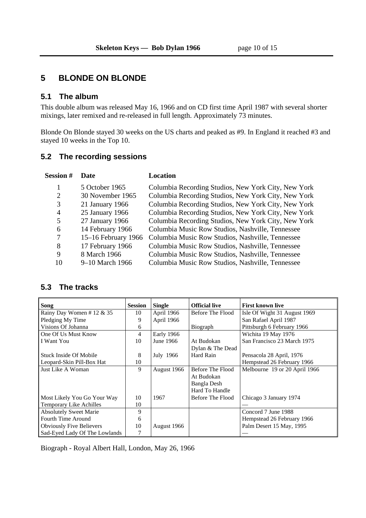## **5 BLONDE ON BLONDE**

### **5.1 The album**

This double album was released May 16, 1966 and on CD first time April 1987 with several shorter mixings, later remixed and re-released in full length. Approximately 73 minutes.

Blonde On Blonde stayed 30 weeks on the US charts and peaked as #9. In England it reached #3 and stayed 10 weeks in the Top 10.

## **5.2 The recording sessions**

| <b>Session #</b> | <b>Date</b>         | <b>Location</b>                                     |
|------------------|---------------------|-----------------------------------------------------|
|                  | 5 October 1965      | Columbia Recording Studios, New York City, New York |
| 2                | 30 November 1965    | Columbia Recording Studios, New York City, New York |
| 3                | 21 January 1966     | Columbia Recording Studios, New York City, New York |
| 4                | 25 January 1966     | Columbia Recording Studios, New York City, New York |
| 5                | 27 January 1966     | Columbia Recording Studios, New York City, New York |
| 6                | 14 February 1966    | Columbia Music Row Studios, Nashville, Tennessee    |
| 7                | 15–16 February 1966 | Columbia Music Row Studios, Nashville, Tennessee    |
| 8                | 17 February 1966    | Columbia Music Row Studios, Nashville, Tennessee    |
| 9                | 8 March 1966        | Columbia Music Row Studios, Nashville, Tennessee    |
| 10               | 9–10 March 1966     | Columbia Music Row Studios, Nashville, Tennessee    |
|                  |                     |                                                     |

## **5.3 The tracks**

| Song                            | <b>Session</b> | <b>Single</b> | <b>Official live</b> | <b>First known live</b>       |
|---------------------------------|----------------|---------------|----------------------|-------------------------------|
| Rainy Day Women #12 & 35        | 10             | April 1966    | Before The Flood     | Isle Of Wight 31 August 1969  |
| Pledging My Time                | 9              | April 1966    |                      | San Rafael April 1987         |
| Visions Of Johanna              | 6              |               | <b>Biograph</b>      | Pittsburgh 6 February 1966    |
| One Of Us Must Know             | $\overline{4}$ | Early 1966    |                      | Wichita 19 May 1976           |
| I Want You                      | 10             | June 1966     | At Budokan           | San Francisco 23 March 1975   |
|                                 |                |               | Dylan & The Dead     |                               |
| Stuck Inside Of Mobile          | 8              | July 1966     | Hard Rain            | Pensacola 28 April, 1976      |
| Leopard-Skin Pill-Box Hat       | 10             |               |                      | Hempstead 26 February 1966    |
| Just Like A Woman               | 9              | August 1966   | Before The Flood     | Melbourne 19 or 20 April 1966 |
|                                 |                |               | At Budokan           |                               |
|                                 |                |               | Bangla Desh          |                               |
|                                 |                |               | Hard To Handle       |                               |
| Most Likely You Go Your Way     | 10             | 1967          | Before The Flood     | Chicago 3 January 1974        |
| Temporary Like Achilles         | 10             |               |                      |                               |
| <b>Absolutely Sweet Marie</b>   | 9              |               |                      | Concord 7 June 1988           |
| Fourth Time Around              | 6              |               |                      | Hempstead 26 February 1966    |
| <b>Obviously Five Believers</b> | 10             | August 1966   |                      | Palm Desert 15 May, 1995      |
| Sad-Eyed Lady Of The Lowlands   |                |               |                      |                               |

Biograph - Royal Albert Hall, London, May 26, 1966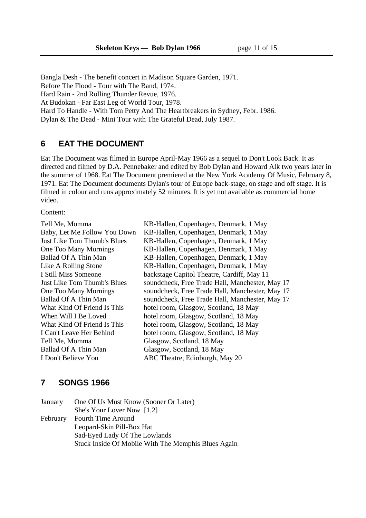Bangla Desh - The benefit concert in Madison Square Garden, 1971. Before The Flood - Tour with The Band, 1974. Hard Rain - 2nd Rolling Thunder Revue, 1976. At Budokan - Far East Leg of World Tour, 1978. Hard To Handle - With Tom Petty And The Heartbreakers in Sydney, Febr. 1986. Dylan & The Dead - Mini Tour with The Grateful Dead, July 1987.

## **6 EAT THE DOCUMENT**

Eat The Document was filmed in Europe April-May 1966 as a sequel to Don't Look Back. It as directed and filmed by D.A. Pennebaker and edited by Bob Dylan and Howard Alk two years later in the summer of 1968. Eat The Document premiered at the New York Academy Of Music, February 8, 1971. Eat The Document documents Dylan's tour of Europe back-stage, on stage and off stage. It is filmed in colour and runs approximately 52 minutes. It is yet not available as commercial home video.

Content:

| Tell Me, Momma                     | KB-Hallen, Copenhagen, Denmark, 1 May           |
|------------------------------------|-------------------------------------------------|
| Baby, Let Me Follow You Down       | KB-Hallen, Copenhagen, Denmark, 1 May           |
| <b>Just Like Tom Thumb's Blues</b> | KB-Hallen, Copenhagen, Denmark, 1 May           |
| One Too Many Mornings              | KB-Hallen, Copenhagen, Denmark, 1 May           |
| Ballad Of A Thin Man               | KB-Hallen, Copenhagen, Denmark, 1 May           |
| Like A Rolling Stone               | KB-Hallen, Copenhagen, Denmark, 1 May           |
| I Still Miss Someone               | backstage Capitol Theatre, Cardiff, May 11      |
| <b>Just Like Tom Thumb's Blues</b> | soundcheck, Free Trade Hall, Manchester, May 17 |
| One Too Many Mornings              | soundcheck, Free Trade Hall, Manchester, May 17 |
| Ballad Of A Thin Man               | soundcheck, Free Trade Hall, Manchester, May 17 |
| What Kind Of Friend Is This        | hotel room, Glasgow, Scotland, 18 May           |
| When Will I Be Loved               | hotel room, Glasgow, Scotland, 18 May           |
| What Kind Of Friend Is This        | hotel room, Glasgow, Scotland, 18 May           |
| I Can't Leave Her Behind           | hotel room, Glasgow, Scotland, 18 May           |
| Tell Me, Momma                     | Glasgow, Scotland, 18 May                       |
| Ballad Of A Thin Man               | Glasgow, Scotland, 18 May                       |
| I Don't Believe You                | ABC Theatre, Edinburgh, May 20                  |
|                                    |                                                 |

## **7 SONGS 1966**

| January  | One Of Us Must Know (Sooner Or Later)               |
|----------|-----------------------------------------------------|
|          | She's Your Lover Now $[1,2]$                        |
| February | Fourth Time Around                                  |
|          | Leopard-Skin Pill-Box Hat                           |
|          | Sad-Eyed Lady Of The Lowlands                       |
|          | Stuck Inside Of Mobile With The Memphis Blues Again |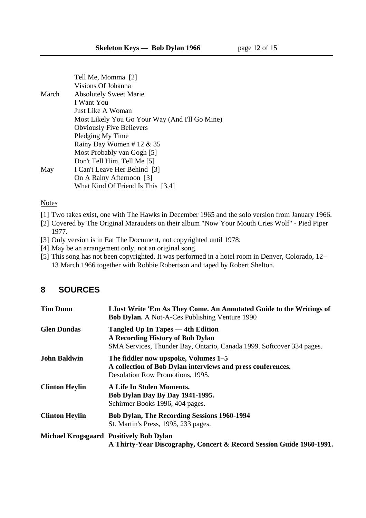| Tell Me, Momma [2]                             |
|------------------------------------------------|
| Visions Of Johanna                             |
| <b>Absolutely Sweet Marie</b>                  |
| I Want You                                     |
| Just Like A Woman                              |
| Most Likely You Go Your Way (And I'll Go Mine) |
| <b>Obviously Five Believers</b>                |
| Pledging My Time                               |
| Rainy Day Women # 12 & 35                      |
| Most Probably van Gogh [5]                     |
| Don't Tell Him, Tell Me [5]                    |
| I Can't Leave Her Behind [3]                   |
| On A Rainy Afternoon [3]                       |
| What Kind Of Friend Is This [3,4]              |
|                                                |

#### Notes

- [1] Two takes exist, one with The Hawks in December 1965 and the solo version from January 1966.
- [2] Covered by The Original Marauders on their album "Now Your Mouth Cries Wolf" Pied Piper 1977.
- [3] Only version is in Eat The Document, not copyrighted until 1978.
- [4] May be an arrangement only, not an original song.
- [5] This song has not been copyrighted. It was performed in a hotel room in Denver, Colorado, 12– 13 March 1966 together with Robbie Robertson and taped by Robert Shelton.

## **8 SOURCES**

| <b>Tim Dunn</b>       | I Just Write 'Em As They Come. An Annotated Guide to the Writings of<br><b>Bob Dylan.</b> A Not-A-Ces Publishing Venture 1990                  |
|-----------------------|------------------------------------------------------------------------------------------------------------------------------------------------|
| <b>Glen Dundas</b>    | Tangled Up In Tapes — 4th Edition<br>A Recording History of Bob Dylan<br>SMA Services, Thunder Bay, Ontario, Canada 1999. Softcover 334 pages. |
| <b>John Baldwin</b>   | The fiddler now upspoke, Volumes 1–5<br>A collection of Bob Dylan interviews and press conferences.<br>Desolation Row Promotions, 1995.        |
| <b>Clinton Heylin</b> | A Life In Stolen Moments.<br>Bob Dylan Day By Day 1941-1995.<br>Schirmer Books 1996, 404 pages.                                                |
| <b>Clinton Heylin</b> | <b>Bob Dylan, The Recording Sessions 1960-1994</b><br>St. Martin's Press, 1995, 233 pages.                                                     |
|                       | <b>Michael Krogsgaard Positively Bob Dylan</b><br>A Thirty-Year Discography, Concert & Record Session Guide 1960-1991.                         |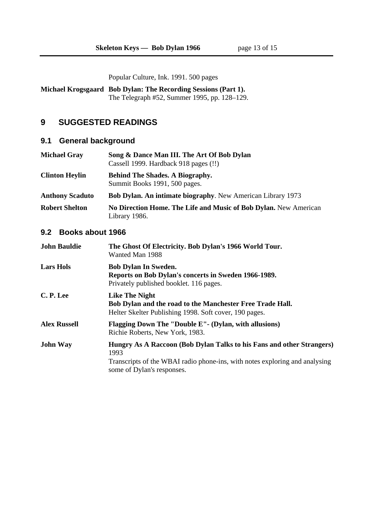Popular Culture, Ink. 1991. 500 pages

**Michael Krogsgaard Bob Dylan: The Recording Sessions (Part 1).**  The Telegraph #52, Summer 1995, pp. 128–129.

# **9 SUGGESTED READINGS**

# **9.1 General background**

| <b>Michael Gray</b>    | Song & Dance Man III. The Art Of Bob Dylan<br>Cassell 1999. Hardback 918 pages (!!) |
|------------------------|-------------------------------------------------------------------------------------|
| <b>Clinton Heylin</b>  | Behind The Shades. A Biography.<br>Summit Books 1991, 500 pages.                    |
| <b>Anthony Scaduto</b> | Bob Dylan. An intimate biography. New American Library 1973                         |
| <b>Robert Shelton</b>  | No Direction Home. The Life and Music of Bob Dylan. New American<br>Library 1986.   |

#### **9.2 Books about 1966**

| <b>John Bauldie</b> | The Ghost Of Electricity. Bob Dylan's 1966 World Tour.<br>Wanted Man 1988                                                                                                                  |  |
|---------------------|--------------------------------------------------------------------------------------------------------------------------------------------------------------------------------------------|--|
| <b>Lars Hols</b>    | <b>Bob Dylan In Sweden.</b><br>Reports on Bob Dylan's concerts in Sweden 1966-1989.<br>Privately published booklet. 116 pages.                                                             |  |
| C.P.Lee             | <b>Like The Night</b><br>Bob Dylan and the road to the Manchester Free Trade Hall.<br>Helter Skelter Publishing 1998. Soft cover, 190 pages.                                               |  |
| <b>Alex Russell</b> | Flagging Down The "Double E" - (Dylan, with allusions)<br>Richie Roberts, New York, 1983.                                                                                                  |  |
| <b>John Way</b>     | Hungry As A Raccoon (Bob Dylan Talks to his Fans and other Strangers)<br>1993<br>Transcripts of the WBAI radio phone-ins, with notes exploring and analysing<br>some of Dylan's responses. |  |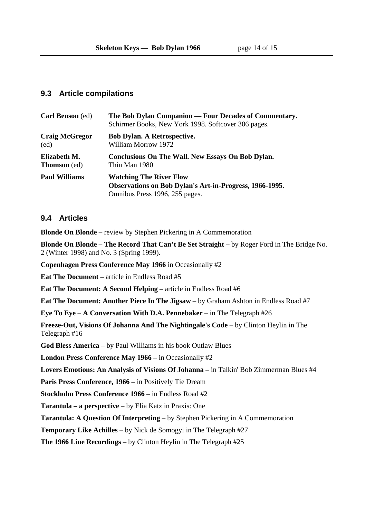#### **9.3 Article compilations**

| <b>Carl Benson</b> (ed) | The Bob Dylan Companion — Four Decades of Commentary.<br>Schirmer Books, New York 1998. Softcover 306 pages.                |
|-------------------------|-----------------------------------------------------------------------------------------------------------------------------|
| <b>Craig McGregor</b>   | <b>Bob Dylan. A Retrospective.</b>                                                                                          |
| (ed)                    | William Morrow 1972                                                                                                         |
| Elizabeth M.            | <b>Conclusions On The Wall. New Essays On Bob Dylan.</b>                                                                    |
| <b>Thomson</b> (ed)     | Thin Man 1980                                                                                                               |
| <b>Paul Williams</b>    | <b>Watching The River Flow</b><br>Observations on Bob Dylan's Art-in-Progress, 1966-1995.<br>Omnibus Press 1996, 255 pages. |

### **9.4 Articles**

**Blonde On Blonde** – review by Stephen Pickering in A Commemoration

**Blonde On Blonde – The Record That Can't Be Set Straight –** by Roger Ford in The Bridge No. 2 (Winter 1998) and No. 3 (Spring 1999).

**Copenhagen Press Conference May 1966** in Occasionally #2

**Eat The Document** – article in Endless Road #5

**Eat The Document: A Second Helping** – article in Endless Road #6

**Eat The Document: Another Piece In The Jigsaw** – by Graham Ashton in Endless Road #7

**Eye To Eye – A Conversation With D.A. Pennebaker – in The Telegraph #26** 

**Freeze-Out, Visions Of Johanna And The Nightingale's Code** – by Clinton Heylin in The Telegraph #16

**God Bless America** – by Paul Williams in his book Outlaw Blues

**London Press Conference May 1966** – in Occasionally #2

**Lovers Emotions: An Analysis of Visions Of Johanna** – in Talkin' Bob Zimmerman Blues #4

Paris Press Conference, 1966 – in Positively Tie Dream

**Stockholm Press Conference 1966** – in Endless Road #2

**Tarantula – a perspective** – by Elia Katz in Praxis: One

**Tarantula: A Question Of Interpreting** – by Stephen Pickering in A Commemoration

**Temporary Like Achilles** – by Nick de Somogyi in The Telegraph #27

**The 1966 Line Recordings** – by Clinton Heylin in The Telegraph #25